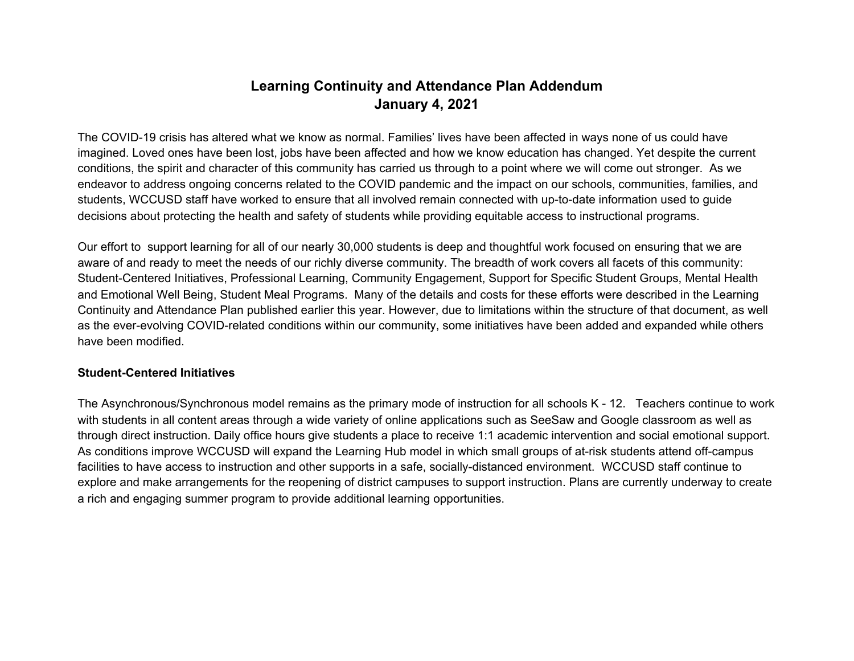# **Learning Continuity and Attendance Plan Addendum January 4, 2021**

The COVID-19 crisis has altered what we know as normal. Families' lives have been affected in ways none of us could have imagined. Loved ones have been lost, jobs have been affected and how we know education has changed. Yet despite the current conditions, the spirit and character of this community has carried us through to a point where we will come out stronger. As we endeavor to address ongoing concerns related to the COVID pandemic and the impact on our schools, communities, families, and students, WCCUSD staff have worked to ensure that all involved remain connected with up-to-date information used to guide decisions about protecting the health and safety of students while providing equitable access to instructional programs.

Our effort to support learning for all of our nearly 30,000 students is deep and thoughtful work focused on ensuring that we are aware of and ready to meet the needs of our richly diverse community. The breadth of work covers all facets of this community: Student-Centered Initiatives, Professional Learning, Community Engagement, Support for Specific Student Groups, Mental Health and Emotional Well Being, Student Meal Programs. Many of the details and costs for these efforts were described in the Learning Continuity and Attendance Plan published earlier this year. However, due to limitations within the structure of that document, as well as the ever-evolving COVID-related conditions within our community, some initiatives have been added and expanded while others have been modified.

#### **Student-Centered Initiatives**

The Asynchronous/Synchronous model remains as the primary mode of instruction for all schools K - 12. Teachers continue to work with students in all content areas through a wide variety of online applications such as SeeSaw and Google classroom as well as through direct instruction. Daily office hours give students a place to receive 1:1 academic intervention and social emotional support. As conditions improve WCCUSD will expand the Learning Hub model in which small groups of at-risk students attend off-campus facilities to have access to instruction and other supports in a safe, socially-distanced environment. WCCUSD staff continue to explore and make arrangements for the reopening of district campuses to support instruction. Plans are currently underway to create a rich and engaging summer program to provide additional learning opportunities.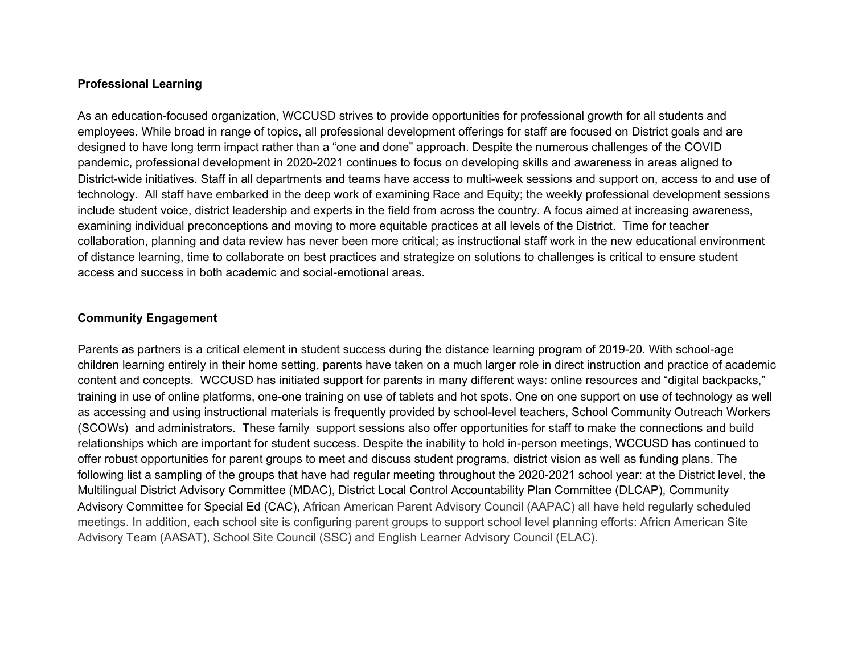#### **Professional Learning**

As an education-focused organization, WCCUSD strives to provide opportunities for professional growth for all students and employees. While broad in range of topics, all professional development offerings for staff are focused on District goals and are designed to have long term impact rather than a "one and done" approach. Despite the numerous challenges of the COVID pandemic, professional development in 2020-2021 continues to focus on developing skills and awareness in areas aligned to District-wide initiatives. Staff in all departments and teams have access to multi-week sessions and support on, access to and use of technology. All staff have embarked in the deep work of examining Race and Equity; the weekly professional development sessions include student voice, district leadership and experts in the field from across the country. A focus aimed at increasing awareness, examining individual preconceptions and moving to more equitable practices at all levels of the District. Time for teacher collaboration, planning and data review has never been more critical; as instructional staff work in the new educational environment of distance learning, time to collaborate on best practices and strategize on solutions to challenges is critical to ensure student access and success in both academic and social-emotional areas.

## **Community Engagement**

Parents as partners is a critical element in student success during the distance learning program of 2019-20. With school-age children learning entirely in their home setting, parents have taken on a much larger role in direct instruction and practice of academic content and concepts. WCCUSD has initiated support for parents in many different ways: online resources and "digital backpacks," training in use of online platforms, one-one training on use of tablets and hot spots. One on one support on use of technology as well as accessing and using instructional materials is frequently provided by school-level teachers, School Community Outreach Workers (SCOWs) and administrators. These family support sessions also offer opportunities for staff to make the connections and build relationships which are important for student success. Despite the inability to hold in-person meetings, WCCUSD has continued to offer robust opportunities for parent groups to meet and discuss student programs, district vision as well as funding plans. The following list a sampling of the groups that have had regular meeting throughout the 2020-2021 school year: at the District level, the Multilingual District Advisory Committee (MDAC), District Local Control Accountability Plan Committee (DLCAP), Community Advisory Committee for Special Ed (CAC), African American Parent Advisory Council (AAPAC) all have held regularly scheduled meetings. In addition, each school site is configuring parent groups to support school level planning efforts: Africn American Site Advisory Team (AASAT), School Site Council (SSC) and English Learner Advisory Council (ELAC).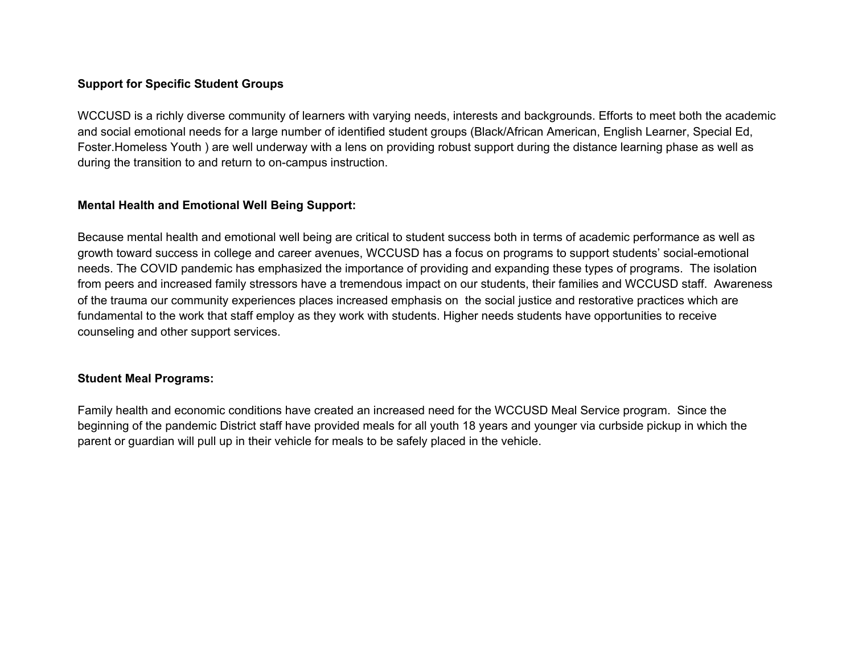# **Support for Specific Student Groups**

WCCUSD is a richly diverse community of learners with varying needs, interests and backgrounds. Efforts to meet both the academic and social emotional needs for a large number of identified student groups (Black/African American, English Learner, Special Ed, Foster.Homeless Youth ) are well underway with a lens on providing robust support during the distance learning phase as well as during the transition to and return to on-campus instruction.

## **Mental Health and Emotional Well Being Support:**

Because mental health and emotional well being are critical to student success both in terms of academic performance as well as growth toward success in college and career avenues, WCCUSD has a focus on programs to support students' social-emotional needs. The COVID pandemic has emphasized the importance of providing and expanding these types of programs. The isolation from peers and increased family stressors have a tremendous impact on our students, their families and WCCUSD staff. Awareness of the trauma our community experiences places increased emphasis on the social justice and restorative practices which are fundamental to the work that staff employ as they work with students. Higher needs students have opportunities to receive counseling and other support services.

#### **Student Meal Programs:**

Family health and economic conditions have created an increased need for the WCCUSD Meal Service program. Since the beginning of the pandemic District staff have provided meals for all youth 18 years and younger via curbside pickup in which the parent or guardian will pull up in their vehicle for meals to be safely placed in the vehicle.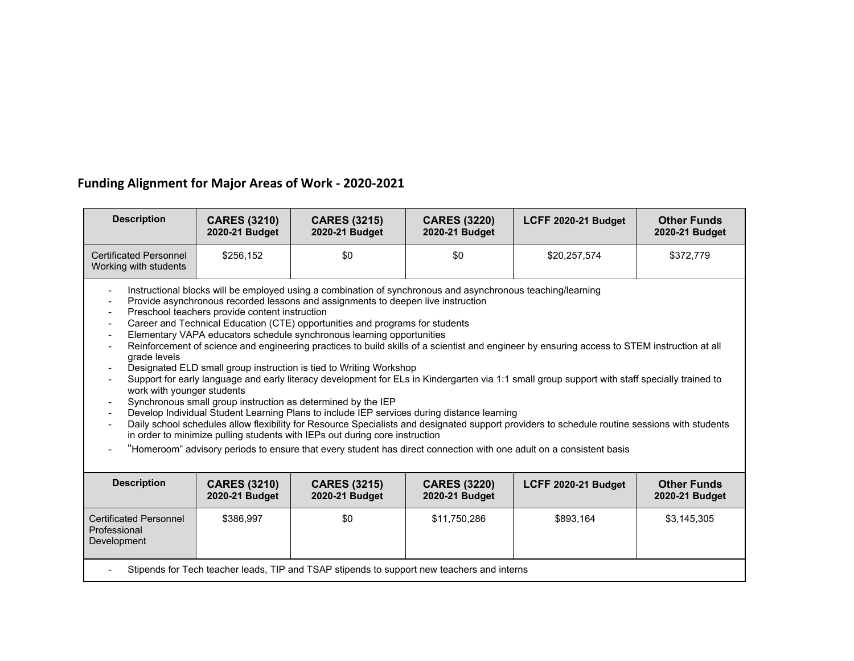# **Funding Alignment for Major Areas of Work - 2020-2021**

| <b>Description</b>                                                                                                                                                                                                                                                                                                                                                                                                                                                                                                                                                                                                                                                                                                                                                                                                                                                                                                                                                                                                                                                                                                                                                                                                                                                                                                                                                                                                                                                                                                                                                                   | <b>CARES (3210)</b><br>2020-21 Budget | <b>CARES (3215)</b><br>2020-21 Budget | <b>CARES (3220)</b><br>2020-21 Budget | LCFF 2020-21 Budget | <b>Other Funds</b><br>2020-21 Budget |  |
|--------------------------------------------------------------------------------------------------------------------------------------------------------------------------------------------------------------------------------------------------------------------------------------------------------------------------------------------------------------------------------------------------------------------------------------------------------------------------------------------------------------------------------------------------------------------------------------------------------------------------------------------------------------------------------------------------------------------------------------------------------------------------------------------------------------------------------------------------------------------------------------------------------------------------------------------------------------------------------------------------------------------------------------------------------------------------------------------------------------------------------------------------------------------------------------------------------------------------------------------------------------------------------------------------------------------------------------------------------------------------------------------------------------------------------------------------------------------------------------------------------------------------------------------------------------------------------------|---------------------------------------|---------------------------------------|---------------------------------------|---------------------|--------------------------------------|--|
| <b>Certificated Personnel</b><br>Working with students                                                                                                                                                                                                                                                                                                                                                                                                                                                                                                                                                                                                                                                                                                                                                                                                                                                                                                                                                                                                                                                                                                                                                                                                                                                                                                                                                                                                                                                                                                                               | \$256,152                             | \$0                                   | \$0                                   | \$20,257,574        | \$372,779                            |  |
| Instructional blocks will be employed using a combination of synchronous and asynchronous teaching/learning<br>$\overline{\phantom{a}}$<br>Provide asynchronous recorded lessons and assignments to deepen live instruction<br>$\overline{\phantom{a}}$<br>Preschool teachers provide content instruction<br>$\overline{\phantom{a}}$<br>Career and Technical Education (CTE) opportunities and programs for students<br>$\overline{\phantom{a}}$<br>Elementary VAPA educators schedule synchronous learning opportunities<br>$\overline{\phantom{a}}$<br>Reinforcement of science and engineering practices to build skills of a scientist and engineer by ensuring access to STEM instruction at all<br>$\overline{\phantom{a}}$<br>grade levels<br>Designated ELD small group instruction is tied to Writing Workshop<br>Support for early language and early literacy development for ELs in Kindergarten via 1:1 small group support with staff specially trained to<br>work with younger students<br>Synchronous small group instruction as determined by the IEP<br>$\overline{\phantom{a}}$<br>Develop Individual Student Learning Plans to include IEP services during distance learning<br>$\overline{\phantom{a}}$<br>Daily school schedules allow flexibility for Resource Specialists and designated support providers to schedule routine sessions with students<br>in order to minimize pulling students with IEPs out during core instruction<br>"Homeroom" advisory periods to ensure that every student has direct connection with one adult on a consistent basis |                                       |                                       |                                       |                     |                                      |  |
| <b>Description</b>                                                                                                                                                                                                                                                                                                                                                                                                                                                                                                                                                                                                                                                                                                                                                                                                                                                                                                                                                                                                                                                                                                                                                                                                                                                                                                                                                                                                                                                                                                                                                                   | <b>CARES (3210)</b><br>2020-21 Budget | <b>CARES (3215)</b><br>2020-21 Budget | <b>CARES (3220)</b><br>2020-21 Budget | LCFF 2020-21 Budget | <b>Other Funds</b><br>2020-21 Budget |  |
| <b>Certificated Personnel</b><br>Professional<br>Development                                                                                                                                                                                                                                                                                                                                                                                                                                                                                                                                                                                                                                                                                                                                                                                                                                                                                                                                                                                                                                                                                                                                                                                                                                                                                                                                                                                                                                                                                                                         | \$386,997                             | \$0                                   | \$11,750,286                          | \$893,164           | \$3,145,305                          |  |
| Stipends for Tech teacher leads, TIP and TSAP stipends to support new teachers and interns                                                                                                                                                                                                                                                                                                                                                                                                                                                                                                                                                                                                                                                                                                                                                                                                                                                                                                                                                                                                                                                                                                                                                                                                                                                                                                                                                                                                                                                                                           |                                       |                                       |                                       |                     |                                      |  |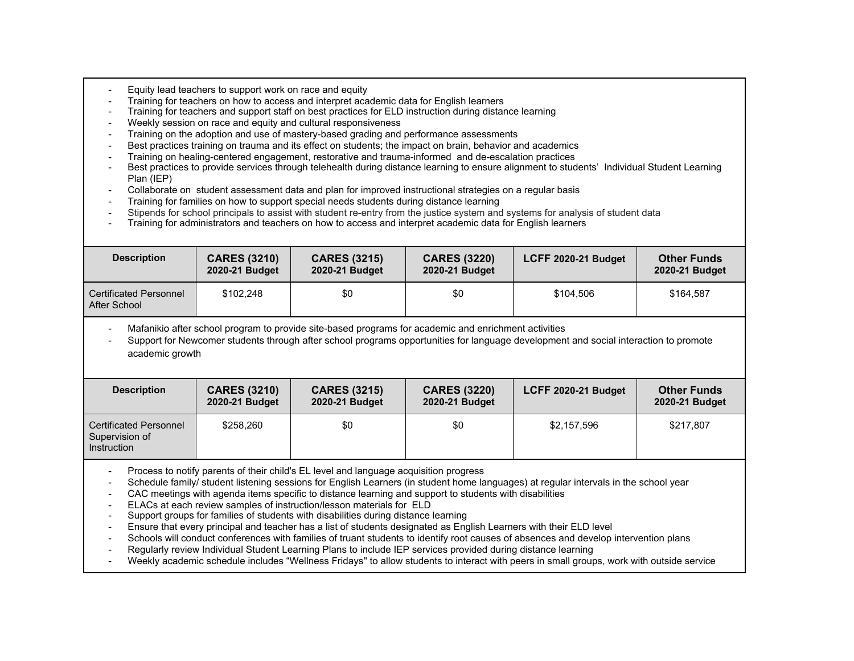- Equity lead teachers to support work on race and equity
- Training for teachers on how to access and interpret academic data for English learners
- Training for teachers and support staff on best practices for ELD instruction during distance learning
- Weekly session on race and equity and cultural responsiveness
- Training on the adoption and use of mastery-based grading and performance assessments
- Best practices training on trauma and its effect on students; the impact on brain, behavior and academics
- Training on healing-centered engagement, restorative and trauma-informed and de-escalation practices
- Best practices to provide services through telehealth during distance learning to ensure alignment to students' Individual Student Learning Plan (IEP)
- Collaborate on student assessment data and plan for improved instructional strategies on a regular basis
- Training for families on how to support special needs students during distance learning
- Stipends for school principals to assist with student re-entry from the justice system and systems for analysis of student data
- Training for administrators and teachers on how to access and interpret academic data for English learners

| <b>Description</b>                            | <b>CARES (3210)</b><br>2020-21 Budget | <b>CARES (3215)</b><br>2020-21 Budget | <b>CARES (3220)</b><br>2020-21 Budget | LCFF 2020-21 Budget | <b>Other Funds</b><br>2020-21 Budget |
|-----------------------------------------------|---------------------------------------|---------------------------------------|---------------------------------------|---------------------|--------------------------------------|
| <b>Certificated Personnel</b><br>After School | \$102,248                             | \$0                                   | \$0                                   | \$104.506           | \$164.587                            |

- Mafanikio after school program to provide site-based programs for academic and enrichment activities

- Support for Newcomer students through after school programs opportunities for language development and social interaction to promote academic growth

| <b>Description</b>                                             | <b>CARES (3210)</b><br>2020-21 Budget | <b>CARES (3215)</b><br>2020-21 Budget | <b>CARES (3220)</b><br>2020-21 Budget | LCFF 2020-21 Budget | <b>Other Funds</b><br>2020-21 Budget |
|----------------------------------------------------------------|---------------------------------------|---------------------------------------|---------------------------------------|---------------------|--------------------------------------|
| <b>Certificated Personnel</b><br>Supervision of<br>Instruction | \$258.260                             | \$0                                   | \$0                                   | \$2,157,596         | \$217,807                            |

Process to notify parents of their child's EL level and language acquisition progress

- Schedule family/ student listening sessions for English Learners (in student home languages) at regular intervals in the school year
- CAC meetings with agenda items specific to distance learning and support to students with disabilities
- ELACs at each review samples of instruction/lesson materials for ELD
- Support groups for families of students with disabilities during distance learning
- Ensure that every principal and teacher has a list of students designated as English Learners with their ELD level
- Schools will conduct conferences with families of truant students to identify root causes of absences and develop intervention plans
- Regularly review Individual Student Learning Plans to include IEP services provided during distance learning
- Weekly academic schedule includes "Wellness Fridays'' to allow students to interact with peers in small groups, work with outside service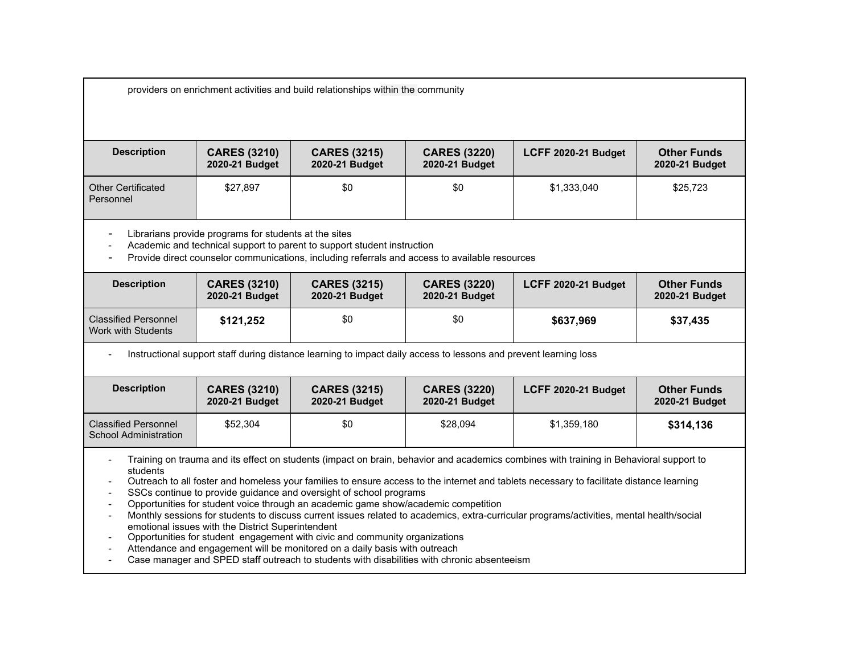providers on enrichment activities and build relationships within the community

| <b>Description</b>                     | <b>CARES (3210)</b><br>2020-21 Budget | <b>CARES (3215)</b><br>2020-21 Budget | <b>CARES (3220)</b><br>2020-21 Budget | <b>LCFF 2020-21 Budget</b> | <b>Other Funds</b><br>2020-21 Budget |
|----------------------------------------|---------------------------------------|---------------------------------------|---------------------------------------|----------------------------|--------------------------------------|
| <b>Other Certificated</b><br>Personnel | \$27,897                              | \$0                                   | \$0                                   | \$1,333,040                | \$25,723                             |

- Librarians provide programs for students at the sites

- Academic and technical support to parent to support student instruction

- Provide direct counselor communications, including referrals and access to available resources

| <b>Description</b>                                | <b>CARES (3210)</b><br>2020-21 Budget | <b>CARES (3215)</b><br>2020-21 Budget | <b>CARES (3220)</b><br>2020-21 Budget | LCFF 2020-21 Budget | <b>Other Funds</b><br>2020-21 Budget |
|---------------------------------------------------|---------------------------------------|---------------------------------------|---------------------------------------|---------------------|--------------------------------------|
| <b>Classified Personnel</b><br>Work with Students | \$121,252                             | \$0                                   | \$0                                   | \$637,969           | \$37,435                             |

- Instructional support staff during distance learning to impact daily access to lessons and prevent learning loss

| <b>Description</b>                                          | <b>CARES (3210)</b><br>2020-21 Budget | <b>CARES (3215)</b><br>2020-21 Budget | <b>CARES (3220)</b><br>2020-21 Budget | LCFF 2020-21 Budget | <b>Other Funds</b><br>2020-21 Budget |
|-------------------------------------------------------------|---------------------------------------|---------------------------------------|---------------------------------------|---------------------|--------------------------------------|
| <b>Classified Personnel</b><br><b>School Administration</b> | \$52,304                              | \$0                                   | \$28,094                              | \$1,359,180         | \$314,136                            |

- Training on trauma and its effect on students (impact on brain, behavior and academics combines with training in Behavioral support to students

- Outreach to all foster and homeless your families to ensure access to the internet and tablets necessary to facilitate distance learning

SSCs continue to provide guidance and oversight of school programs

- Opportunities for student voice through an academic game show/academic competition

- Monthly sessions for students to discuss current issues related to academics, extra-curricular programs/activities, mental health/social emotional issues with the District Superintendent

- Opportunities for student engagement with civic and community organizations

- Attendance and engagement will be monitored on a daily basis with outreach

- Case manager and SPED staff outreach to students with disabilities with chronic absenteeism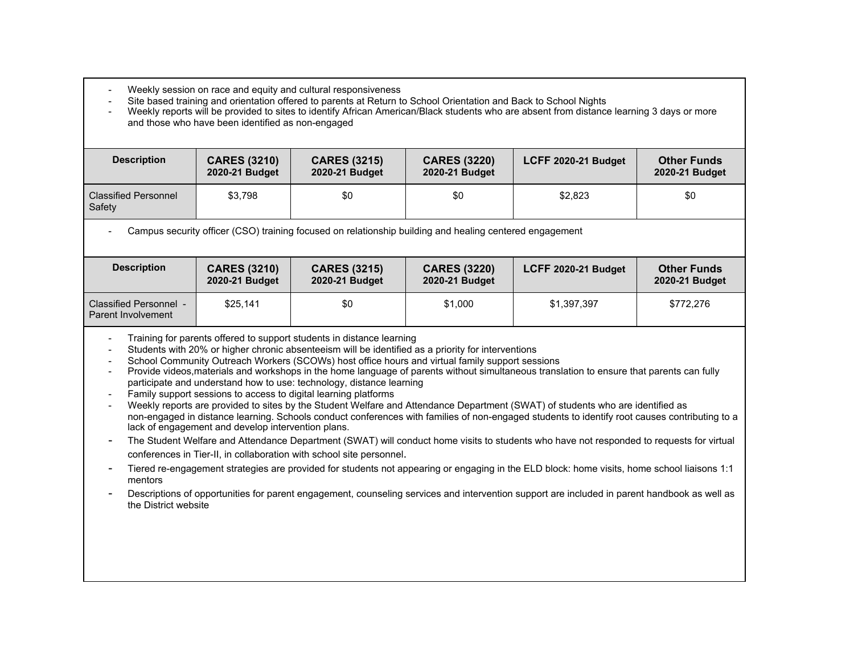- Weekly session on race and equity and cultural responsiveness
- Site based training and orientation offered to parents at Return to School Orientation and Back to School Nights

- Weekly reports will be provided to sites to identify African American/Black students who are absent from distance learning 3 days or more and those who have been identified as non-engaged

| <b>Description</b>                    | <b>CARES (3210)</b><br>2020-21 Budget | <b>CARES (3215)</b><br>2020-21 Budget | <b>CARES (3220)</b><br>2020-21 Budget | LCFF 2020-21 Budget | <b>Other Funds</b><br>2020-21 Budget |
|---------------------------------------|---------------------------------------|---------------------------------------|---------------------------------------|---------------------|--------------------------------------|
| <b>Classified Personnel</b><br>Safety | \$3,798                               | \$0                                   | \$0                                   | \$2,823             | \$0                                  |

Campus security officer (CSO) training focused on relationship building and healing centered engagement

| <b>Description</b>                           | <b>CARES (3210)</b><br>2020-21 Budget | <b>CARES (3215)</b><br>2020-21 Budget | <b>CARES (3220)</b><br>2020-21 Budget | LCFF 2020-21 Budget | <b>Other Funds</b><br>2020-21 Budget |
|----------------------------------------------|---------------------------------------|---------------------------------------|---------------------------------------|---------------------|--------------------------------------|
| Classified Personnel -<br>Parent Involvement | \$25.141                              | \$0                                   | \$1,000                               | \$1,397,397         | \$772.276                            |

- Training for parents offered to support students in distance learning

- Students with 20% or higher chronic absenteeism will be identified as a priority for interventions

- School Community Outreach Workers (SCOWs) host office hours and virtual family support sessions

- Provide videos,materials and workshops in the home language of parents without simultaneous translation to ensure that parents can fully participate and understand how to use: technology, distance learning

- Family support sessions to access to digital learning platforms

- Weekly reports are provided to sites by the Student Welfare and Attendance Department (SWAT) of students who are identified as non-engaged in distance learning. Schools conduct conferences with families of non-engaged students to identify root causes contributing to a lack of engagement and develop intervention plans.

- The Student Welfare and Attendance Department (SWAT) will conduct home visits to students who have not responded to requests for virtual conferences in Tier-II, in collaboration with school site personnel.

- Tiered re-engagement strategies are provided for students not appearing or engaging in the ELD block: home visits, home school liaisons 1:1 mentors

- Descriptions of opportunities for parent engagement, counseling services and intervention support are included in parent handbook as well as the District website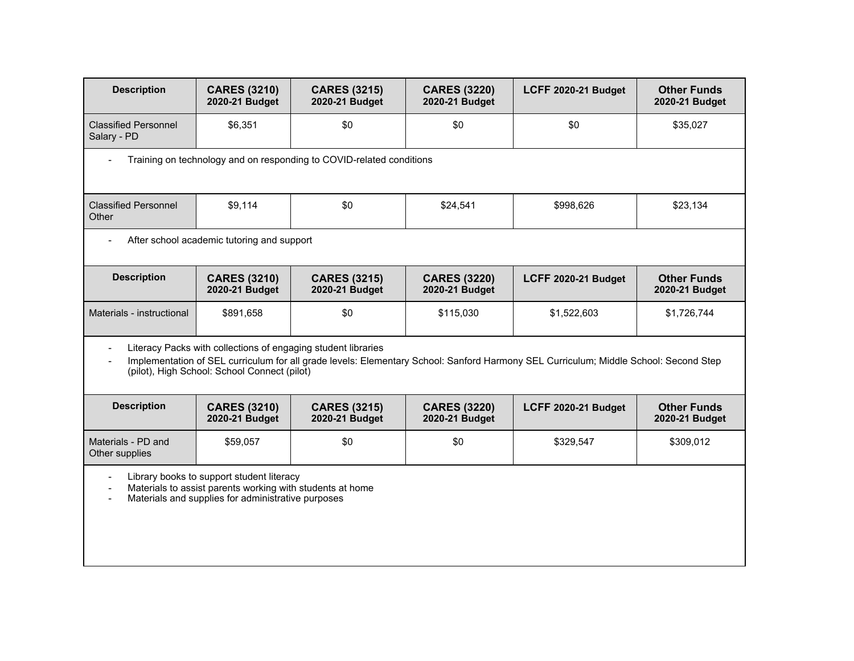| <b>Description</b>                         | <b>CARES (3210)</b><br>2020-21 Budget                                                                                                                        | <b>CARES (3215)</b><br>2020-21 Budget | <b>CARES (3220)</b><br>2020-21 Budget | LCFF 2020-21 Budget                                                                                                                  | <b>Other Funds</b><br>2020-21 Budget |  |  |  |  |
|--------------------------------------------|--------------------------------------------------------------------------------------------------------------------------------------------------------------|---------------------------------------|---------------------------------------|--------------------------------------------------------------------------------------------------------------------------------------|--------------------------------------|--|--|--|--|
| <b>Classified Personnel</b><br>Salary - PD | \$6,351                                                                                                                                                      | \$0                                   | \$0                                   | \$0                                                                                                                                  | \$35,027                             |  |  |  |  |
|                                            | Training on technology and on responding to COVID-related conditions                                                                                         |                                       |                                       |                                                                                                                                      |                                      |  |  |  |  |
| <b>Classified Personnel</b><br>Other       | \$9,114                                                                                                                                                      | \$0                                   | \$24,541                              | \$998,626                                                                                                                            | \$23,134                             |  |  |  |  |
|                                            | After school academic tutoring and support                                                                                                                   |                                       |                                       |                                                                                                                                      |                                      |  |  |  |  |
| <b>Description</b>                         | <b>CARES (3210)</b><br>2020-21 Budget                                                                                                                        | <b>CARES (3215)</b><br>2020-21 Budget | <b>CARES (3220)</b><br>2020-21 Budget | LCFF 2020-21 Budget                                                                                                                  | <b>Other Funds</b><br>2020-21 Budget |  |  |  |  |
| Materials - instructional                  | \$891,658                                                                                                                                                    | \$0                                   | \$115,030                             | \$1,522,603                                                                                                                          | \$1,726,744                          |  |  |  |  |
|                                            | Literacy Packs with collections of engaging student libraries<br>(pilot), High School: School Connect (pilot)                                                |                                       |                                       | Implementation of SEL curriculum for all grade levels: Elementary School: Sanford Harmony SEL Curriculum; Middle School: Second Step |                                      |  |  |  |  |
| <b>Description</b>                         | <b>CARES (3210)</b><br>2020-21 Budget                                                                                                                        | <b>CARES (3215)</b><br>2020-21 Budget | <b>CARES (3220)</b><br>2020-21 Budget | LCFF 2020-21 Budget                                                                                                                  | <b>Other Funds</b><br>2020-21 Budget |  |  |  |  |
| Materials - PD and<br>Other supplies       | \$59,057                                                                                                                                                     | \$0                                   | \$0                                   | \$329,547                                                                                                                            | \$309,012                            |  |  |  |  |
| $\overline{\phantom{a}}$                   | Library books to support student literacy<br>Materials to assist parents working with students at home<br>Materials and supplies for administrative purposes |                                       |                                       |                                                                                                                                      |                                      |  |  |  |  |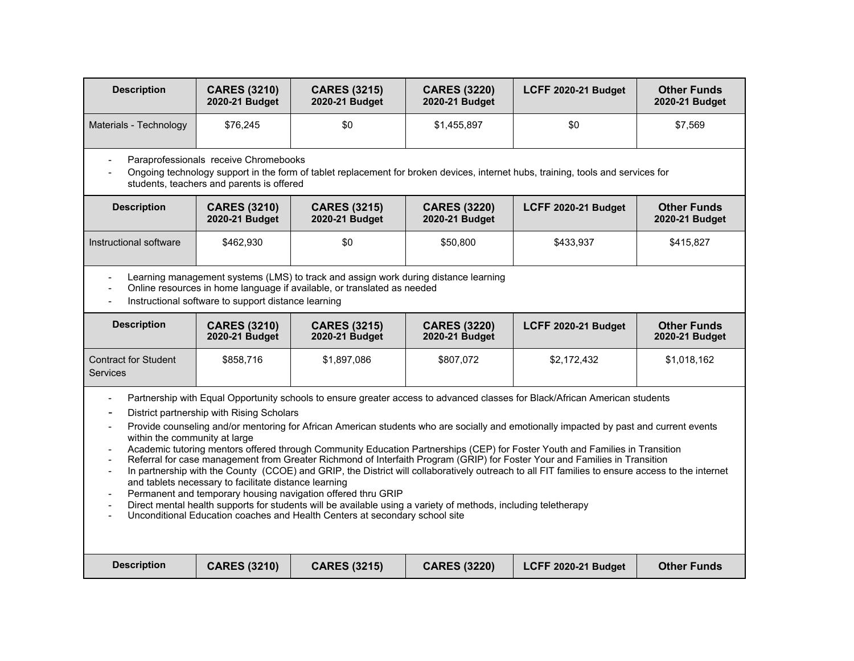| <b>Description</b>                                                                                                                                    | <b>CARES (3210)</b><br>2020-21 Budget                                                              | <b>CARES (3215)</b><br>2020-21 Budget                                                                                                                                                                                                                         | <b>CARES (3220)</b><br>2020-21 Budget | LCFF 2020-21 Budget                                                                                                                                                                                                                                                                                                                                                                                                                                                                                                                                                                                                                                                                    | <b>Other Funds</b><br>2020-21 Budget |
|-------------------------------------------------------------------------------------------------------------------------------------------------------|----------------------------------------------------------------------------------------------------|---------------------------------------------------------------------------------------------------------------------------------------------------------------------------------------------------------------------------------------------------------------|---------------------------------------|----------------------------------------------------------------------------------------------------------------------------------------------------------------------------------------------------------------------------------------------------------------------------------------------------------------------------------------------------------------------------------------------------------------------------------------------------------------------------------------------------------------------------------------------------------------------------------------------------------------------------------------------------------------------------------------|--------------------------------------|
| Materials - Technology                                                                                                                                | \$76,245                                                                                           | \$0                                                                                                                                                                                                                                                           | \$1,455,897                           | \$0                                                                                                                                                                                                                                                                                                                                                                                                                                                                                                                                                                                                                                                                                    | \$7,569                              |
|                                                                                                                                                       | Paraprofessionals receive Chromebooks<br>students, teachers and parents is offered                 |                                                                                                                                                                                                                                                               |                                       | Ongoing technology support in the form of tablet replacement for broken devices, internet hubs, training, tools and services for                                                                                                                                                                                                                                                                                                                                                                                                                                                                                                                                                       |                                      |
| <b>Description</b>                                                                                                                                    | <b>CARES (3210)</b><br>2020-21 Budget                                                              | <b>CARES (3215)</b><br>2020-21 Budget                                                                                                                                                                                                                         | <b>CARES (3220)</b><br>2020-21 Budget | LCFF 2020-21 Budget                                                                                                                                                                                                                                                                                                                                                                                                                                                                                                                                                                                                                                                                    | <b>Other Funds</b><br>2020-21 Budget |
| Instructional software                                                                                                                                | \$462,930                                                                                          | \$0                                                                                                                                                                                                                                                           | \$50,800                              | \$433,937                                                                                                                                                                                                                                                                                                                                                                                                                                                                                                                                                                                                                                                                              | \$415,827                            |
| $\blacksquare$                                                                                                                                        | Instructional software to support distance learning                                                | Learning management systems (LMS) to track and assign work during distance learning<br>Online resources in home language if available, or translated as needed                                                                                                |                                       |                                                                                                                                                                                                                                                                                                                                                                                                                                                                                                                                                                                                                                                                                        |                                      |
| <b>Description</b>                                                                                                                                    | <b>CARES (3210)</b><br>2020-21 Budget                                                              | <b>CARES (3215)</b><br>2020-21 Budget                                                                                                                                                                                                                         | <b>CARES (3220)</b><br>2020-21 Budget | LCFF 2020-21 Budget                                                                                                                                                                                                                                                                                                                                                                                                                                                                                                                                                                                                                                                                    | <b>Other Funds</b><br>2020-21 Budget |
| <b>Contract for Student</b><br><b>Services</b>                                                                                                        | \$858,716                                                                                          | \$1,897,086                                                                                                                                                                                                                                                   | \$807,072                             | \$2,172,432                                                                                                                                                                                                                                                                                                                                                                                                                                                                                                                                                                                                                                                                            | \$1,018,162                          |
| $\overline{\phantom{a}}$<br>$\overline{\phantom{a}}$<br>$\overline{\phantom{a}}$<br>within the community at large<br>$\blacksquare$<br>$\blacksquare$ | District partnership with Rising Scholars<br>and tablets necessary to facilitate distance learning | Permanent and temporary housing navigation offered thru GRIP<br>Direct mental health supports for students will be available using a variety of methods, including teletherapy<br>Unconditional Education coaches and Health Centers at secondary school site |                                       | Partnership with Equal Opportunity schools to ensure greater access to advanced classes for Black/African American students<br>Provide counseling and/or mentoring for African American students who are socially and emotionally impacted by past and current events<br>Academic tutoring mentors offered through Community Education Partnerships (CEP) for Foster Youth and Families in Transition<br>Referral for case management from Greater Richmond of Interfaith Program (GRIP) for Foster Your and Families in Transition<br>In partnership with the County (CCOE) and GRIP, the District will collaboratively outreach to all FIT families to ensure access to the internet |                                      |
| <b>Description</b>                                                                                                                                    | <b>CARES (3210)</b>                                                                                | <b>CARES (3215)</b>                                                                                                                                                                                                                                           | <b>CARES (3220)</b>                   | LCFF 2020-21 Budget                                                                                                                                                                                                                                                                                                                                                                                                                                                                                                                                                                                                                                                                    | <b>Other Funds</b>                   |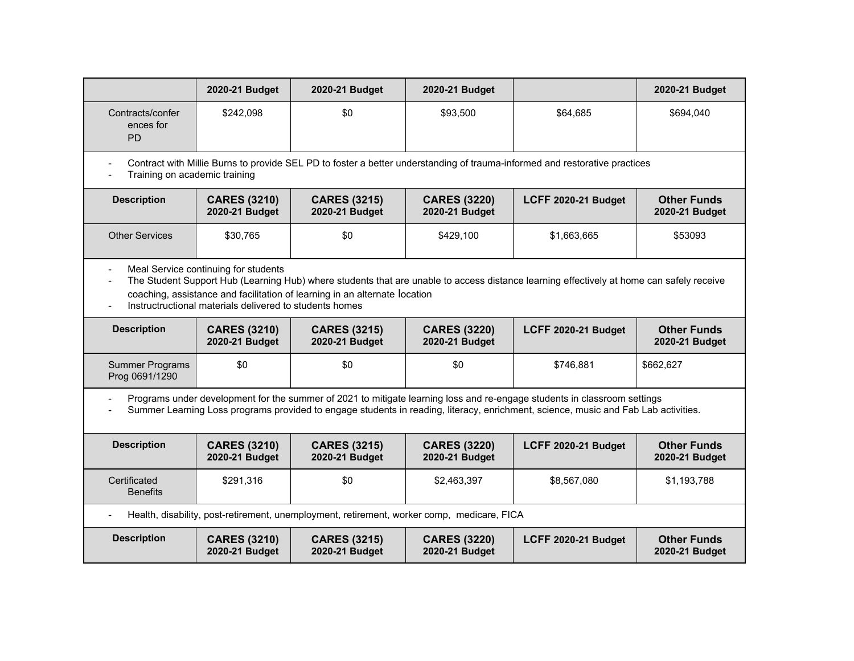|                                            | 2020-21 Budget                                                                                                                                                                                                                                                                                                            | 2020-21 Budget                                                                             | 2020-21 Budget                        |                                                                                                                                                                                                                                                                | 2020-21 Budget                       |  |  |  |
|--------------------------------------------|---------------------------------------------------------------------------------------------------------------------------------------------------------------------------------------------------------------------------------------------------------------------------------------------------------------------------|--------------------------------------------------------------------------------------------|---------------------------------------|----------------------------------------------------------------------------------------------------------------------------------------------------------------------------------------------------------------------------------------------------------------|--------------------------------------|--|--|--|
| Contracts/confer<br>ences for<br><b>PD</b> | \$242,098                                                                                                                                                                                                                                                                                                                 | \$0                                                                                        | \$93,500                              | \$64,685                                                                                                                                                                                                                                                       | \$694,040                            |  |  |  |
|                                            | Contract with Millie Burns to provide SEL PD to foster a better understanding of trauma-informed and restorative practices<br>Training on academic training                                                                                                                                                               |                                                                                            |                                       |                                                                                                                                                                                                                                                                |                                      |  |  |  |
| <b>Description</b>                         | <b>CARES (3210)</b><br>2020-21 Budget                                                                                                                                                                                                                                                                                     | <b>CARES (3215)</b><br>2020-21 Budget                                                      | <b>CARES (3220)</b><br>2020-21 Budget | LCFF 2020-21 Budget                                                                                                                                                                                                                                            | <b>Other Funds</b><br>2020-21 Budget |  |  |  |
| <b>Other Services</b>                      | \$30,765                                                                                                                                                                                                                                                                                                                  | \$0                                                                                        | \$429,100                             | \$1,663,665                                                                                                                                                                                                                                                    | \$53093                              |  |  |  |
|                                            | Meal Service continuing for students<br>The Student Support Hub (Learning Hub) where students that are unable to access distance learning effectively at home can safely receive<br>coaching, assistance and facilitation of learning in an alternate location<br>Instructructional materials delivered to students homes |                                                                                            |                                       |                                                                                                                                                                                                                                                                |                                      |  |  |  |
| <b>Description</b>                         | <b>CARES (3210)</b><br>2020-21 Budget                                                                                                                                                                                                                                                                                     | <b>CARES (3215)</b><br>2020-21 Budget                                                      | <b>CARES (3220)</b><br>2020-21 Budget | LCFF 2020-21 Budget                                                                                                                                                                                                                                            | <b>Other Funds</b><br>2020-21 Budget |  |  |  |
| <b>Summer Programs</b><br>Prog 0691/1290   | \$0                                                                                                                                                                                                                                                                                                                       | \$0                                                                                        | \$0                                   | \$746,881                                                                                                                                                                                                                                                      | \$662,627                            |  |  |  |
|                                            |                                                                                                                                                                                                                                                                                                                           |                                                                                            |                                       | Programs under development for the summer of 2021 to mitigate learning loss and re-engage students in classroom settings<br>Summer Learning Loss programs provided to engage students in reading, literacy, enrichment, science, music and Fab Lab activities. |                                      |  |  |  |
| <b>Description</b>                         | <b>CARES (3210)</b><br>2020-21 Budget                                                                                                                                                                                                                                                                                     | <b>CARES (3215)</b><br>2020-21 Budget                                                      | <b>CARES (3220)</b><br>2020-21 Budget | LCFF 2020-21 Budget                                                                                                                                                                                                                                            | <b>Other Funds</b><br>2020-21 Budget |  |  |  |
| Certificated<br><b>Benefits</b>            | \$291,316                                                                                                                                                                                                                                                                                                                 | \$0                                                                                        | \$2,463,397                           | \$8,567,080                                                                                                                                                                                                                                                    | \$1,193,788                          |  |  |  |
|                                            |                                                                                                                                                                                                                                                                                                                           | Health, disability, post-retirement, unemployment, retirement, worker comp, medicare, FICA |                                       |                                                                                                                                                                                                                                                                |                                      |  |  |  |
| <b>Description</b>                         | <b>CARES (3210)</b><br>2020-21 Budget                                                                                                                                                                                                                                                                                     | <b>CARES (3215)</b><br>2020-21 Budget                                                      | <b>CARES (3220)</b><br>2020-21 Budget | LCFF 2020-21 Budget                                                                                                                                                                                                                                            | <b>Other Funds</b><br>2020-21 Budget |  |  |  |